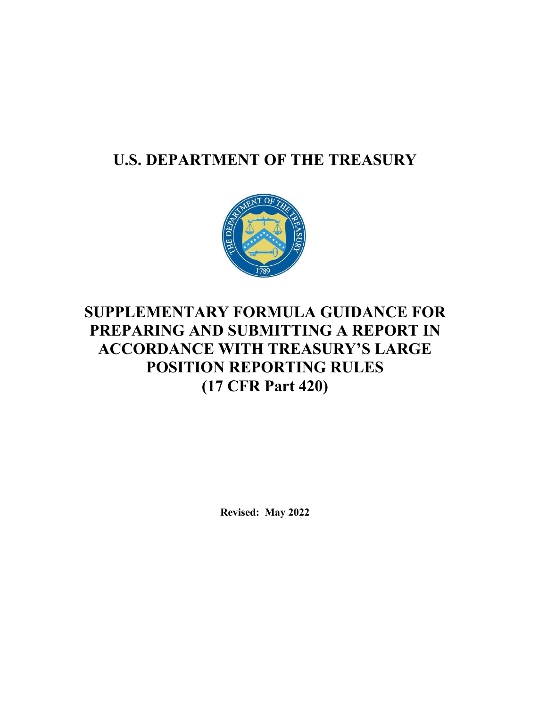# **U.S. DEPARTMENT OF THE TREASURY**



# **SUPPLEMENTARY FORMULA GUIDANCE FOR PREPARING AND SUBMITTING A REPORT IN ACCORDANCE WITH TREASURY'S LARGE POSITION REPORTING RULES (17 CFR Part 420)**

**Revised: May 2022**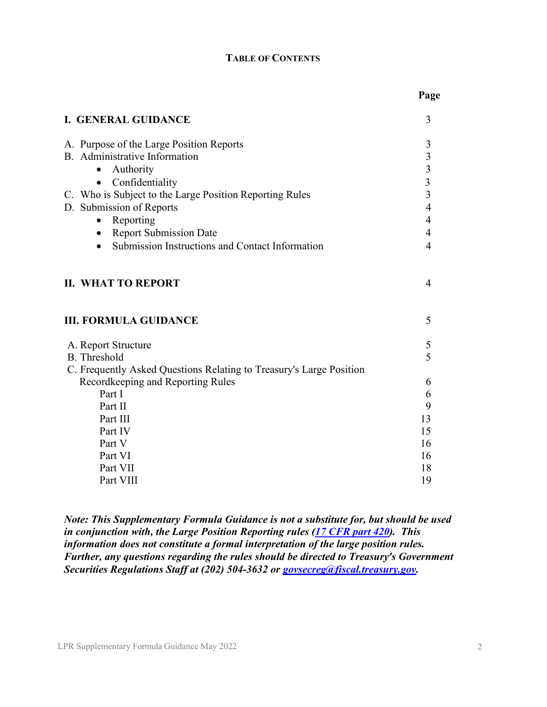#### **TABLE OF CONTENTS**

| <b>I. GENERAL GUIDANCE</b>                                                                               | 3                       |
|----------------------------------------------------------------------------------------------------------|-------------------------|
| A. Purpose of the Large Position Reports                                                                 | 3                       |
| B. Administrative Information                                                                            | $\overline{3}$          |
| Authority<br>$\bullet$                                                                                   | $\overline{\mathbf{3}}$ |
| Confidentiality<br>$\bullet$                                                                             | $\overline{\mathbf{3}}$ |
| C. Who is Subject to the Large Position Reporting Rules                                                  | 3                       |
| D. Submission of Reports                                                                                 | $\overline{4}$          |
| Reporting<br>$\bullet$                                                                                   | $\overline{4}$          |
| • Report Submission Date                                                                                 | $\overline{4}$          |
| Submission Instructions and Contact Information                                                          | $\overline{4}$          |
| <b>II. WHAT TO REPORT</b><br><b>III. FORMULA GUIDANCE</b>                                                | 4<br>5                  |
|                                                                                                          |                         |
| A. Report Structure<br>B. Threshold                                                                      | 5<br>5                  |
|                                                                                                          |                         |
| C. Frequently Asked Questions Relating to Treasury's Large Position<br>Recordkeeping and Reporting Rules | 6                       |
| Part I                                                                                                   | 6                       |
| Part II                                                                                                  | 9                       |
| Part III                                                                                                 | 13                      |
| Part IV                                                                                                  | 15                      |
| Part V                                                                                                   | 16                      |
| Part VI                                                                                                  | 16                      |
| Part VII                                                                                                 |                         |
|                                                                                                          | 18                      |

*Note: This Supplementary Formula Guidance is not a substitute for, but should be used in conjunction with, the Large Position Reporting rules [\(17 CFR part 420\)](https://www.ecfr.gov/cgi-bin/retrieveECFR?gp=1&SID=469139d28601bda27c9e0beae9c8e4ea&ty=HTML&h=L&mc=true&n=pt17.4.420&r=PART). This information does not constitute a formal interpretation of the large position rules. Further, any questions regarding the rules should be directed to Treasury's Government Securities Regulations Staff at (202) 504-3632 or [govsecreg@fiscal.treasury.gov.](mailto:govsecreg@fiscal.treasury.gov)*

**Page**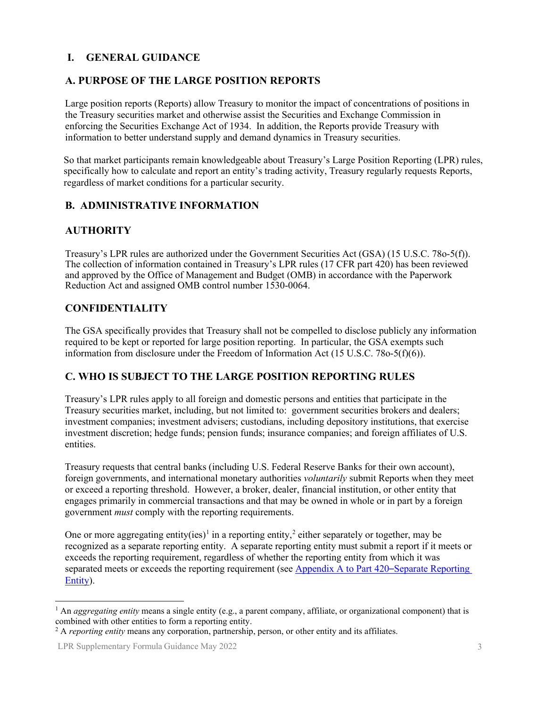#### <span id="page-2-0"></span>**I. GENERAL GUIDANCE**

#### <span id="page-2-1"></span>**A. PURPOSE OF THE LARGE POSITION REPORTS**

Large position reports (Reports) allow Treasury to monitor the impact of concentrations of positions in the Treasury securities market and otherwise assist the Securities and Exchange Commission in enforcing the Securities Exchange Act of 1934. In addition, the Reports provide Treasury with information to better understand supply and demand dynamics in Treasury securities.

So that market participants remain knowledgeable about Treasury's Large Position Reporting (LPR) rules, specifically how to calculate and report an entity's trading activity, Treasury regularly requests Reports, regardless of market conditions for a particular security.

#### <span id="page-2-2"></span>**B. ADMINISTRATIVE INFORMATION**

#### **AUTHORITY**

Treasury's LPR rules are authorized under the Government Securities Act (GSA) (15 U.S.C. 78o-5(f)). The collection of information contained in Treasury's LPR rules (17 CFR part 420) has been reviewed and approved by the Office of Management and Budget (OMB) in accordance with the Paperwork Reduction Act and assigned OMB control number 1530-0064.

#### <span id="page-2-3"></span>**CONFIDENTIALITY**

The GSA specifically provides that Treasury shall not be compelled to disclose publicly any information required to be kept or reported for large position reporting. In particular, the GSA exempts such information from disclosure under the Freedom of Information Act (15 U.S.C. 78o-5(f)(6)).

#### <span id="page-2-4"></span>**C. WHO IS SUBJECT TO THE LARGE POSITION REPORTING RULES**

Treasury's LPR rules apply to all foreign and domestic persons and entities that participate in the Treasury securities market, including, but not limited to: government securities brokers and dealers; investment companies; investment advisers; custodians, including depository institutions, that exercise investment discretion; hedge funds; pension funds; insurance companies; and foreign affiliates of U.S. entities.

Treasury requests that central banks (including U.S. Federal Reserve Banks for their own account), foreign governments, and international monetary authorities *voluntarily* submit Reports when they meet or exceed a reporting threshold. However, a broker, dealer, financial institution, or other entity that engages primarily in commercial transactions and that may be owned in whole or in part by a foreign government *must* comply with the reporting requirements.

One or more aggregating entity(ies)<sup>[1](#page-2-5)</sup> in a reporting entity,<sup>[2](#page-2-6)</sup> either separately or together, may be recognized as a separate reporting entity. A separate reporting entity must submit a report if it meets or exceeds the reporting requirement, regardless of whether the reporting entity from which it was separated meets or exceeds the reporting requirement (see [Appendix A to Part 420](https://gov.ecfr.io/cgi-bin/text-idx?SID=a47bb931479ee839714b9bb87f8a0013&mc=true&node=ap17.4.420_15.a&rgn=div9)–Separate Reporting [Entity\)](https://gov.ecfr.io/cgi-bin/text-idx?SID=a47bb931479ee839714b9bb87f8a0013&mc=true&node=ap17.4.420_15.a&rgn=div9).

<span id="page-2-5"></span><sup>&</sup>lt;sup>1</sup> An *aggregating entity* means a single entity (e.g., a parent company, affiliate, or organizational component) that is combined with other entities to form a reporting entity.

<span id="page-2-6"></span><sup>2</sup> A *reporting entity* means any corporation, partnership, person, or other entity and its affiliates.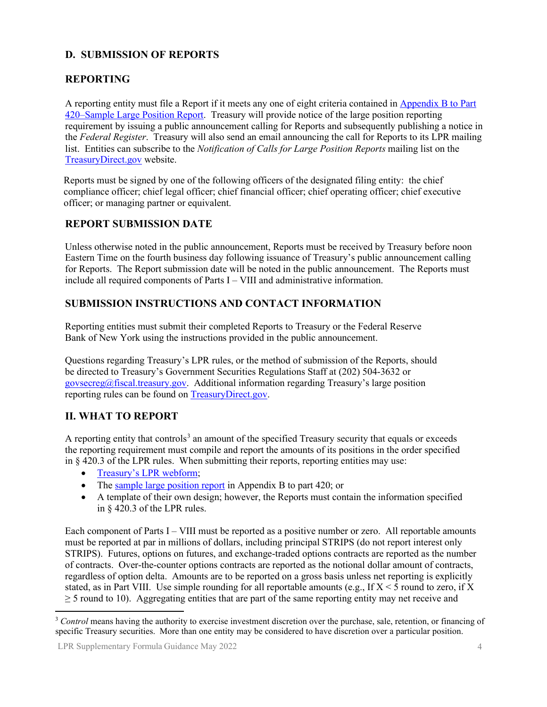# <span id="page-3-0"></span>**D. SUBMISSION OF REPORTS**

## **REPORTING**

A reporting entity must file a Report if it meets any one of eight criteria contained i[n Appendix B to Part](https://treasurydirect.gov/instit/statreg/gsareg/SampleLPRFormula.pdf) [420–Sample Large Position Report.](https://treasurydirect.gov/instit/statreg/gsareg/SampleLPRFormula.pdf) Treasury will provide notice of the large position reporting requirement by issuing a public announcement calling for Reports and subsequently publishing a notice in the *Federal Register*. Treasury will also send an email announcing the call for Reports to its LPR mailing list. Entities can subscribe to the *Notification of Calls for Large Position Reports* mailing list on the [TreasuryDirect.gov w](https://treasurydirect.gov/maillist/maillist.htm)ebsite.

Reports must be signed by one of the following officers of the designated filing entity: the chief compliance officer; chief legal officer; chief financial officer; chief operating officer; chief executive officer; or managing partner or equivalent.

#### <span id="page-3-1"></span>**REPORT SUBMISSION DATE**

Unless otherwise noted in the public announcement, Reports must be received by Treasury before noon Eastern Time on the fourth business day following issuance of Treasury's public announcement calling for Reports. The Report submission date will be noted in the public announcement. The Reports must include all required components of Parts I – VIII and administrative information.

# <span id="page-3-2"></span>**SUBMISSION INSTRUCTIONS AND CONTACT INFORMATION**

Reporting entities must submit their completed Reports to Treasury or the Federal Reserve Bank of New York using the instructions provided in the public announcement.

Questions regarding Treasury's LPR rules, or the method of submission of the Reports, should be directed to Treasury's Government Securities Regulations Staff at (202) 504-3632 or [govsecreg@fiscal.treasury.gov.](mailto:govsecreg@fiscal.treasury.gov) Additional information regarding Treasury's large position reporting rules can be found on [TreasuryDirect.gov.](https://www.treasurydirect.gov/instit/statreg/gsareg/gsareg.htm)

#### <span id="page-3-3"></span>**II. WHAT TO REPORT**

A reporting entity that controls<sup>[3](#page-3-4)</sup> an amount of the specified Treasury security that equals or exceeds the reporting requirement must compile and report the amounts of its positions in the order specified in § 420.3 of the LPR rules. When submitting their reports, reporting entities may use:

- [Treasury's LPR webform;](https://treasurydirect.gov/instit/statreg/gsareg/LPR-form.htm)
- The [sample large position report](https://treasurydirect.gov/instit/statreg/gsareg/SampleLPRFormula.pdf) in Appendix B to part 420; or
- A template of their own design; however, the Reports must contain the information specified in § 420.3 of the LPR rules.

Each component of Parts I – VIII must be reported as a positive number or zero. All reportable amounts must be reported at par in millions of dollars, including principal STRIPS (do not report interest only STRIPS). Futures, options on futures, and exchange-traded options contracts are reported as the number of contracts. Over-the-counter options contracts are reported as the notional dollar amount of contracts, regardless of option delta. Amounts are to be reported on a gross basis unless net reporting is explicitly stated, as in Part VIII. Use simple rounding for all reportable amounts (e.g., If  $X \le 5$  round to zero, if X  $\geq$  5 round to 10). Aggregating entities that are part of the same reporting entity may net receive and

<span id="page-3-4"></span><sup>&</sup>lt;sup>3</sup> *Control* means having the authority to exercise investment discretion over the purchase, sale, retention, or financing of specific Treasury securities. More than one entity may be considered to have discretion over a particular position.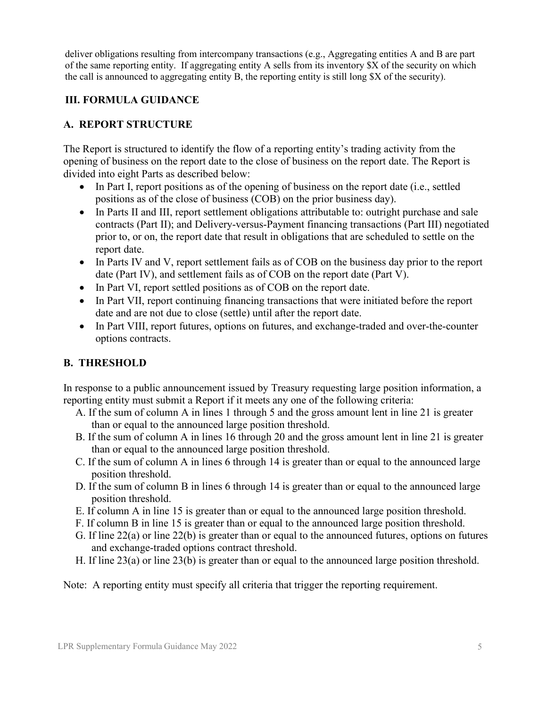deliver obligations resulting from intercompany transactions (e.g., Aggregating entities A and B are part of the same reporting entity. If aggregating entity A sells from its inventory \$X of the security on which the call is announced to aggregating entity B, the reporting entity is still long \$X of the security).

## <span id="page-4-0"></span>**III. FORMULA GUIDANCE**

## **A. REPORT STRUCTURE**

The Report is structured to identify the flow of a reporting entity's trading activity from the opening of business on the report date to the close of business on the report date. The Report is divided into eight Parts as described below:

- In Part I, report positions as of the opening of business on the report date (i.e., settled positions as of the close of business (COB) on the prior business day).
- In Parts II and III, report settlement obligations attributable to: outright purchase and sale contracts (Part II); and Delivery-versus-Payment financing transactions (Part III) negotiated prior to, or on, the report date that result in obligations that are scheduled to settle on the report date.
- In Parts IV and V, report settlement fails as of COB on the business day prior to the report date (Part IV), and settlement fails as of COB on the report date (Part V).
- In Part VI, report settled positions as of COB on the report date.
- In Part VII, report continuing financing transactions that were initiated before the report date and are not due to close (settle) until after the report date.
- In Part VIII, report futures, options on futures, and exchange-traded and over-the-counter options contracts.

# **B. THRESHOLD**

In response to a public announcement issued by Treasury requesting large position information, a reporting entity must submit a Report if it meets any one of the following criteria:

- A. If the sum of column A in lines 1 through 5 and the gross amount lent in line 21 is greater than or equal to the announced large position threshold.
- B. If the sum of column A in lines 16 through 20 and the gross amount lent in line 21 is greater than or equal to the announced large position threshold.
- C. If the sum of column A in lines 6 through 14 is greater than or equal to the announced large position threshold.
- D. If the sum of column B in lines 6 through 14 is greater than or equal to the announced large position threshold.
- E. If column A in line 15 is greater than or equal to the announced large position threshold.
- F. If column B in line 15 is greater than or equal to the announced large position threshold.
- G. If line 22(a) or line 22(b) is greater than or equal to the announced futures, options on futures and exchange-traded options contract threshold.
- H. If line 23(a) or line 23(b) is greater than or equal to the announced large position threshold.

Note: A reporting entity must specify all criteria that trigger the reporting requirement.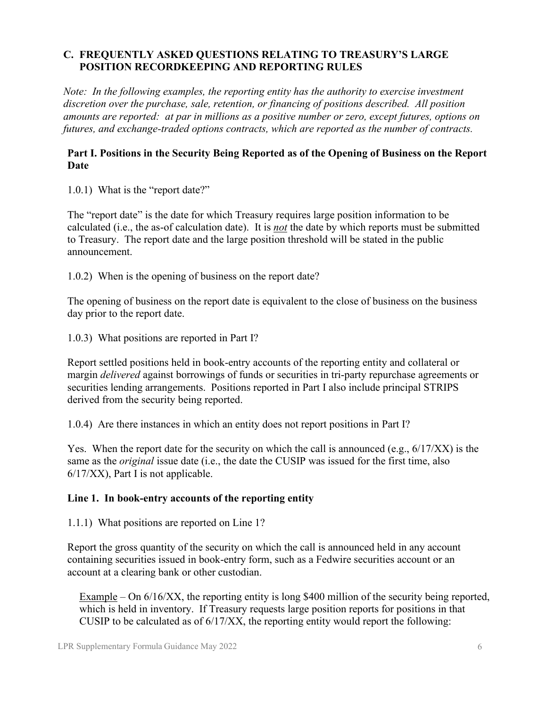## **C. FREQUENTLY ASKED QUESTIONS RELATING TO TREASURY'S LARGE POSITION RECORDKEEPING AND REPORTING RULES**

*Note: In the following examples, the reporting entity has the authority to exercise investment discretion over the purchase, sale, retention, or financing of positions described. All position amounts are reported: at par in millions as a positive number or zero, except futures, options on futures, and exchange-traded options contracts, which are reported as the number of contracts.* 

#### <span id="page-5-0"></span>**Part I. Positions in the Security Being Reported as of the Opening of Business on the Report Date**

1.0.1) What is the "report date?"

The "report date" is the date for which Treasury requires large position information to be calculated (i.e., the as-of calculation date). It is *not* the date by which reports must be submitted to Treasury. The report date and the large position threshold will be stated in the public announcement.

1.0.2) When is the opening of business on the report date?

The opening of business on the report date is equivalent to the close of business on the business day prior to the report date.

1.0.3) What positions are reported in Part I?

Report settled positions held in book-entry accounts of the reporting entity and collateral or margin *delivered* against borrowings of funds or securities in tri-party repurchase agreements or securities lending arrangements. Positions reported in Part I also include principal STRIPS derived from the security being reported.

1.0.4) Are there instances in which an entity does not report positions in Part I?

Yes. When the report date for the security on which the call is announced (e.g., 6/17/XX) is the same as the *original* issue date (i.e., the date the CUSIP was issued for the first time, also 6/17/XX), Part I is not applicable.

#### **Line 1. In book-entry accounts of the reporting entity**

1.1.1) What positions are reported on Line 1?

Report the gross quantity of the security on which the call is announced held in any account containing securities issued in book-entry form, such as a Fedwire securities account or an account at a clearing bank or other custodian.

Example – On 6/16/XX, the reporting entity is long \$400 million of the security being reported, which is held in inventory. If Treasury requests large position reports for positions in that CUSIP to be calculated as of 6/17/XX, the reporting entity would report the following: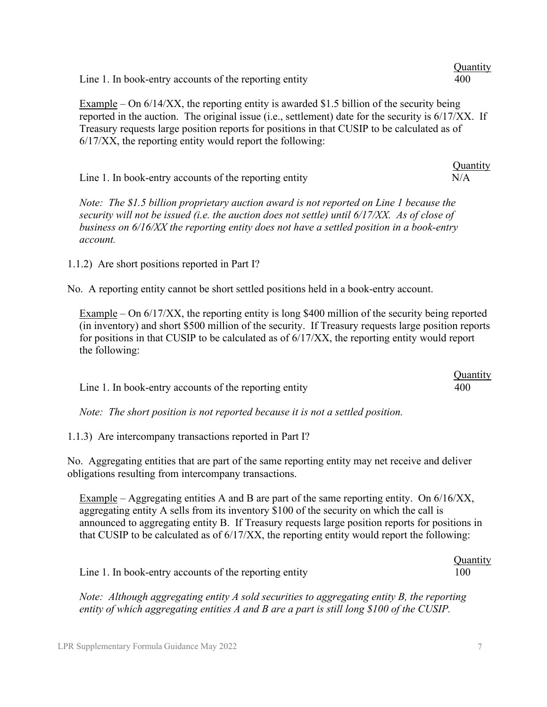| Line 1. In book-entry accounts of the reporting entity                                                                                                                                                                                                                                                                                                             | 400             |
|--------------------------------------------------------------------------------------------------------------------------------------------------------------------------------------------------------------------------------------------------------------------------------------------------------------------------------------------------------------------|-----------------|
| Example – On $6/14/XX$ , the reporting entity is awarded \$1.5 billion of the security being<br>reported in the auction. The original issue (i.e., settlement) date for the security is 6/17/XX. If<br>Treasury requests large position reports for positions in that CUSIP to be calculated as of<br>$6/17/XX$ , the reporting entity would report the following: |                 |
| Line 1. In book-entry accounts of the reporting entity                                                                                                                                                                                                                                                                                                             | Quantity<br>N/A |
| Note: The \$1.5 billion proprietary auction award is not reported on Line 1 because the<br>security will not be issued (i.e. the auction does not settle) until 6/17/XX. As of close of<br>business on $6/16/XX$ the reporting entity does not have a settled position in a book-entry<br>account.                                                                 |                 |
| 1.1.2) Are short positions reported in Part I?                                                                                                                                                                                                                                                                                                                     |                 |

No. A reporting entity cannot be short settled positions held in a book-entry account.

Example – On 6/17/XX, the reporting entity is long \$400 million of the security being reported (in inventory) and short \$500 million of the security. If Treasury requests large position reports for positions in that CUSIP to be calculated as of 6/17/XX, the reporting entity would report the following:

|                                                        | <b>Quantity</b> |
|--------------------------------------------------------|-----------------|
| Line 1. In book-entry accounts of the reporting entity | 400             |

*Note: The short position is not reported because it is not a settled position.* 

1.1.3) Are intercompany transactions reported in Part I?

No. Aggregating entities that are part of the same reporting entity may net receive and deliver obligations resulting from intercompany transactions.

Example – Aggregating entities A and B are part of the same reporting entity. On 6/16/XX, aggregating entity A sells from its inventory \$100 of the security on which the call is announced to aggregating entity B. If Treasury requests large position reports for positions in that CUSIP to be calculated as of 6/17/XX, the reporting entity would report the following:

|                                                        | <b>Quantity</b> |
|--------------------------------------------------------|-----------------|
| Line 1. In book-entry accounts of the reporting entity | 100             |

*Note: Although aggregating entity A sold securities to aggregating entity B, the reporting entity of which aggregating entities A and B are a part is still long \$100 of the CUSIP.* 

**Ouantity**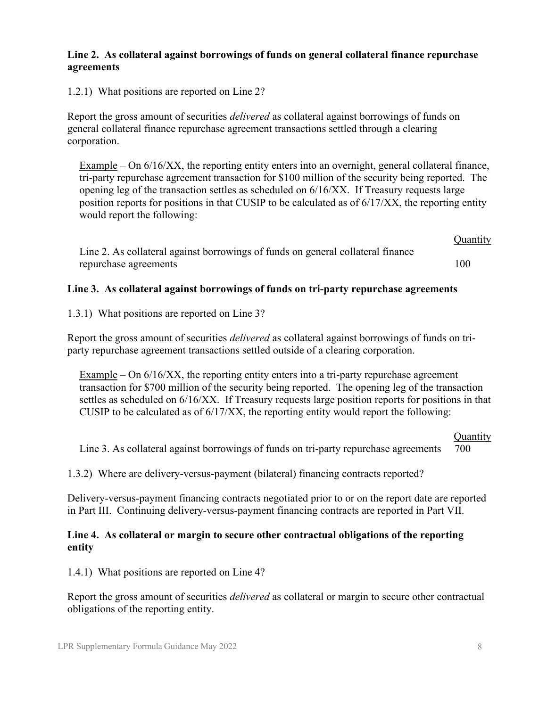#### **Line 2. As collateral against borrowings of funds on general collateral finance repurchase agreements**

1.2.1) What positions are reported on Line 2?

Report the gross amount of securities *delivered* as collateral against borrowings of funds on general collateral finance repurchase agreement transactions settled through a clearing corporation.

Example – On 6/16/XX, the reporting entity enters into an overnight, general collateral finance, tri-party repurchase agreement transaction for \$100 million of the security being reported. The opening leg of the transaction settles as scheduled on 6/16/XX. If Treasury requests large position reports for positions in that CUSIP to be calculated as of  $6/17/XX$ , the reporting entity would report the following:

**Quantity** Line 2. As collateral against borrowings of funds on general collateral finance repurchase agreements 100

#### **Line 3. As collateral against borrowings of funds on tri-party repurchase agreements**

1.3.1) What positions are reported on Line 3?

Report the gross amount of securities *delivered* as collateral against borrowings of funds on triparty repurchase agreement transactions settled outside of a clearing corporation.

Example – On 6/16/XX, the reporting entity enters into a tri-party repurchase agreement transaction for \$700 million of the security being reported. The opening leg of the transaction settles as scheduled on 6/16/XX. If Treasury requests large position reports for positions in that CUSIP to be calculated as of 6/17/XX, the reporting entity would report the following:

#### **Quantity**

Line 3. As collateral against borrowings of funds on tri-party repurchase agreements 700

1.3.2) Where are delivery-versus-payment (bilateral) financing contracts reported?

Delivery-versus-payment financing contracts negotiated prior to or on the report date are reported in Part III. Continuing delivery-versus-payment financing contracts are reported in Part VII.

#### **Line 4. As collateral or margin to secure other contractual obligations of the reporting entity**

1.4.1) What positions are reported on Line 4?

Report the gross amount of securities *delivered* as collateral or margin to secure other contractual obligations of the reporting entity.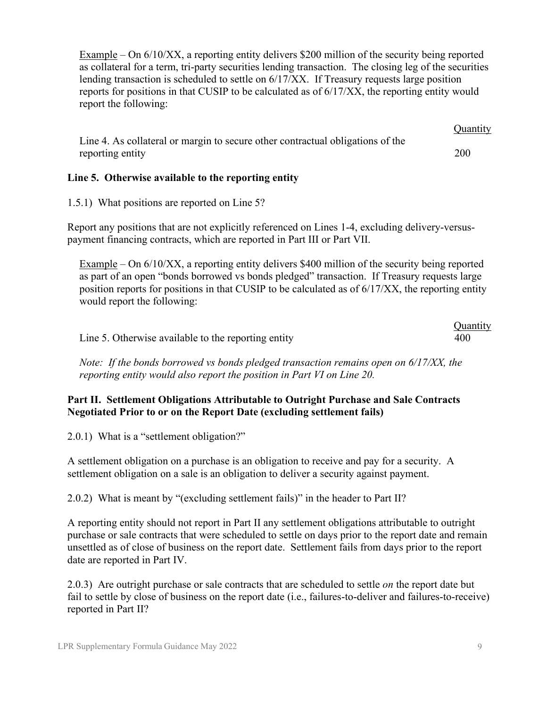Example – On 6/10/XX, a reporting entity delivers \$200 million of the security being reported as collateral for a term, tri-party securities lending transaction. The closing leg of the securities lending transaction is scheduled to settle on 6/17/XX. If Treasury requests large position reports for positions in that CUSIP to be calculated as of 6/17/XX, the reporting entity would report the following:

|                                                                                | <b>Quantity</b> |
|--------------------------------------------------------------------------------|-----------------|
| Line 4. As collateral or margin to secure other contractual obligations of the |                 |
| reporting entity                                                               | 200             |

#### **Line 5. Otherwise available to the reporting entity**

1.5.1) What positions are reported on Line 5?

Report any positions that are not explicitly referenced on Lines 1-4, excluding delivery-versuspayment financing contracts, which are reported in Part III or Part VII.

Example – On 6/10/XX, a reporting entity delivers \$400 million of the security being reported as part of an open "bonds borrowed vs bonds pledged" transaction. If Treasury requests large position reports for positions in that CUSIP to be calculated as of 6/17/XX, the reporting entity would report the following:

|                                                     | Quantity |
|-----------------------------------------------------|----------|
| Line 5. Otherwise available to the reporting entity | 400      |

*Note: If the bonds borrowed vs bonds pledged transaction remains open on 6/17/XX, the reporting entity would also report the position in Part VI on Line 20.* 

#### <span id="page-8-0"></span>**Part II. Settlement Obligations Attributable to Outright Purchase and Sale Contracts Negotiated Prior to or on the Report Date (excluding settlement fails)**

2.0.1) What is a "settlement obligation?"

A settlement obligation on a purchase is an obligation to receive and pay for a security. A settlement obligation on a sale is an obligation to deliver a security against payment.

2.0.2) What is meant by "(excluding settlement fails)" in the header to Part II?

A reporting entity should not report in Part II any settlement obligations attributable to outright purchase or sale contracts that were scheduled to settle on days prior to the report date and remain unsettled as of close of business on the report date. Settlement fails from days prior to the report date are reported in Part IV.

2.0.3) Are outright purchase or sale contracts that are scheduled to settle *on* the report date but fail to settle by close of business on the report date (i.e., failures-to-deliver and failures-to-receive) reported in Part II?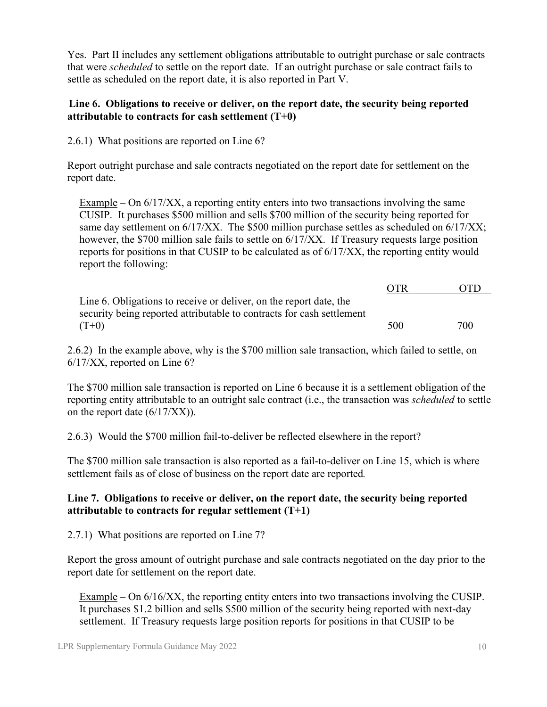Yes. Part II includes any settlement obligations attributable to outright purchase or sale contracts that were *scheduled* to settle on the report date. If an outright purchase or sale contract fails to settle as scheduled on the report date, it is also reported in Part V.

#### **Line 6. Obligations to receive or deliver, on the report date, the security being reported attributable to contracts for cash settlement (T+0)**

2.6.1) What positions are reported on Line 6?

Report outright purchase and sale contracts negotiated on the report date for settlement on the report date.

Example – On 6/17/XX, a reporting entity enters into two transactions involving the same CUSIP. It purchases \$500 million and sells \$700 million of the security being reported for same day settlement on  $6/17/XX$ . The \$500 million purchase settles as scheduled on  $6/17/XX$ ; however, the \$700 million sale fails to settle on 6/17/XX. If Treasury requests large position reports for positions in that CUSIP to be calculated as of 6/17/XX, the reporting entity would report the following:

|                                                                       | <b>OTR</b> | <b>OTD</b> |
|-----------------------------------------------------------------------|------------|------------|
| Line 6. Obligations to receive or deliver, on the report date, the    |            |            |
| security being reported attributable to contracts for cash settlement |            |            |
| $(T+0)$                                                               | 500        | 700        |

2.6.2) In the example above, why is the \$700 million sale transaction, which failed to settle, on 6/17/XX, reported on Line 6?

The \$700 million sale transaction is reported on Line 6 because it is a settlement obligation of the reporting entity attributable to an outright sale contract (i.e., the transaction was *scheduled* to settle on the report date (6/17/XX)).

2.6.3) Would the \$700 million fail-to-deliver be reflected elsewhere in the report?

The \$700 million sale transaction is also reported as a fail-to-deliver on Line 15, which is where settlement fails as of close of business on the report date are reported*.* 

# **Line 7. Obligations to receive or deliver, on the report date, the security being reported attributable to contracts for regular settlement (T+1)**

2.7.1) What positions are reported on Line 7?

Report the gross amount of outright purchase and sale contracts negotiated on the day prior to the report date for settlement on the report date.

Example – On 6/16/XX, the reporting entity enters into two transactions involving the CUSIP. It purchases \$1.2 billion and sells \$500 million of the security being reported with next-day settlement. If Treasury requests large position reports for positions in that CUSIP to be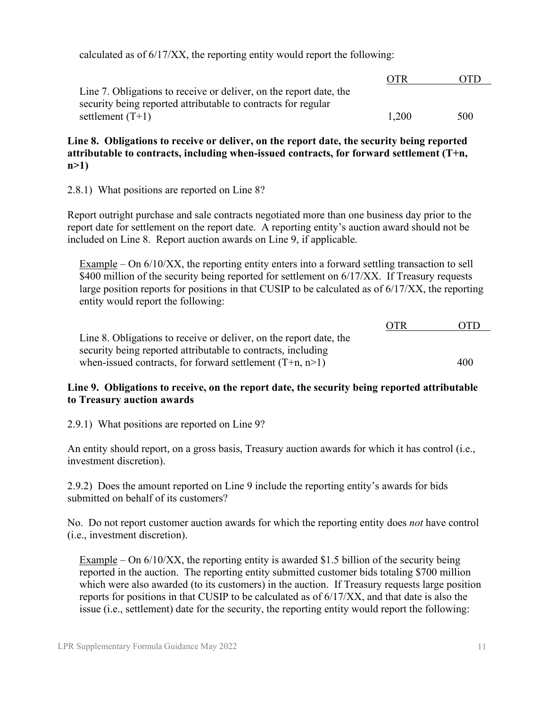calculated as of 6/17/XX, the reporting entity would report the following:

|                                                                    | <b>OTR</b> | OTD |
|--------------------------------------------------------------------|------------|-----|
| Line 7. Obligations to receive or deliver, on the report date, the |            |     |
| security being reported attributable to contracts for regular      |            |     |
| settlement $(T+1)$                                                 | 1.200      | 500 |

**Line 8. Obligations to receive or deliver, on the report date, the security being reported attributable to contracts, including when-issued contracts, for forward settlement (T+n, n>1)**

2.8.1) What positions are reported on Line 8?

Report outright purchase and sale contracts negotiated more than one business day prior to the report date for settlement on the report date. A reporting entity's auction award should not be included on Line 8. Report auction awards on Line 9, if applicable.

Example – On 6/10/XX, the reporting entity enters into a forward settling transaction to sell \$400 million of the security being reported for settlement on  $6/17/XX$ . If Treasury requests large position reports for positions in that CUSIP to be calculated as of 6/17/XX, the reporting entity would report the following:

|                                                                    | <b>OTR</b> | <b>OTD</b> |
|--------------------------------------------------------------------|------------|------------|
| Line 8. Obligations to receive or deliver, on the report date, the |            |            |
| security being reported attributable to contracts, including       |            |            |
| when-issued contracts, for forward settlement $(T+n, n>1)$         |            | 400        |

#### **Line 9. Obligations to receive, on the report date, the security being reported attributable to Treasury auction awards**

2.9.1) What positions are reported on Line 9?

An entity should report, on a gross basis, Treasury auction awards for which it has control (i.e., investment discretion).

2.9.2) Does the amount reported on Line 9 include the reporting entity's awards for bids submitted on behalf of its customers?

No. Do not report customer auction awards for which the reporting entity does *not* have control (i.e., investment discretion).

Example – On 6/10/XX, the reporting entity is awarded \$1.5 billion of the security being reported in the auction. The reporting entity submitted customer bids totaling \$700 million which were also awarded (to its customers) in the auction. If Treasury requests large position reports for positions in that CUSIP to be calculated as of 6/17/XX, and that date is also the issue (i.e., settlement) date for the security, the reporting entity would report the following: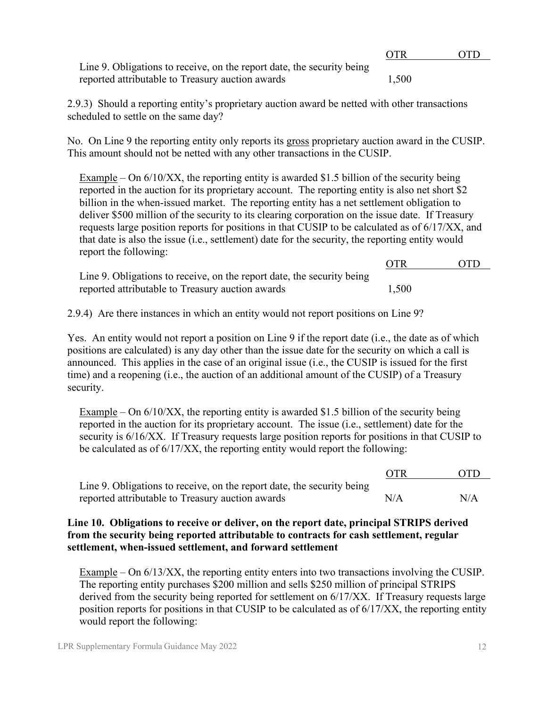|                                                                        | OTR.  | OTD. |
|------------------------------------------------------------------------|-------|------|
| Line 9. Obligations to receive, on the report date, the security being |       |      |
| reported attributable to Treasury auction awards                       | 1.500 |      |

2.9.3) Should a reporting entity's proprietary auction award be netted with other transactions scheduled to settle on the same day?

No. On Line 9 the reporting entity only reports its gross proprietary auction award in the CUSIP. This amount should not be netted with any other transactions in the CUSIP.

Example – On  $6/10/XX$ , the reporting entity is awarded \$1.5 billion of the security being reported in the auction for its proprietary account. The reporting entity is also net short \$2 billion in the when-issued market. The reporting entity has a net settlement obligation to deliver \$500 million of the security to its clearing corporation on the issue date. If Treasury requests large position reports for positions in that CUSIP to be calculated as of 6/17/XX, and that date is also the issue (i.e., settlement) date for the security, the reporting entity would report the following:

|                                                                        | $\cup$ in | . |
|------------------------------------------------------------------------|-----------|---|
| Line 9. Obligations to receive, on the report date, the security being |           |   |
| reported attributable to Treasury auction awards                       | 1,500     |   |

2.9.4) Are there instances in which an entity would not report positions on Line 9?

Yes. An entity would not report a position on Line 9 if the report date (i.e., the date as of which positions are calculated) is any day other than the issue date for the security on which a call is announced. This applies in the case of an original issue (i.e., the CUSIP is issued for the first time) and a reopening (i.e., the auction of an additional amount of the CUSIP) of a Treasury security.

Example – On 6/10/XX, the reporting entity is awarded \$1.5 billion of the security being reported in the auction for its proprietary account. The issue (i.e., settlement) date for the security is  $6/16/XX$ . If Treasury requests large position reports for positions in that CUSIP to be calculated as of 6/17/XX, the reporting entity would report the following:

|                                                                        | <b>OTR</b> | - OTD |
|------------------------------------------------------------------------|------------|-------|
| Line 9. Obligations to receive, on the report date, the security being |            |       |
| reported attributable to Treasury auction awards                       | N/A        | N/A   |

#### **Line 10. Obligations to receive or deliver, on the report date, principal STRIPS derived from the security being reported attributable to contracts for cash settlement, regular settlement, when-issued settlement, and forward settlement**

Example – On 6/13/XX, the reporting entity enters into two transactions involving the CUSIP. The reporting entity purchases \$200 million and sells \$250 million of principal STRIPS derived from the security being reported for settlement on 6/17/XX. If Treasury requests large position reports for positions in that CUSIP to be calculated as of 6/17/XX, the reporting entity would report the following:

OTR OTD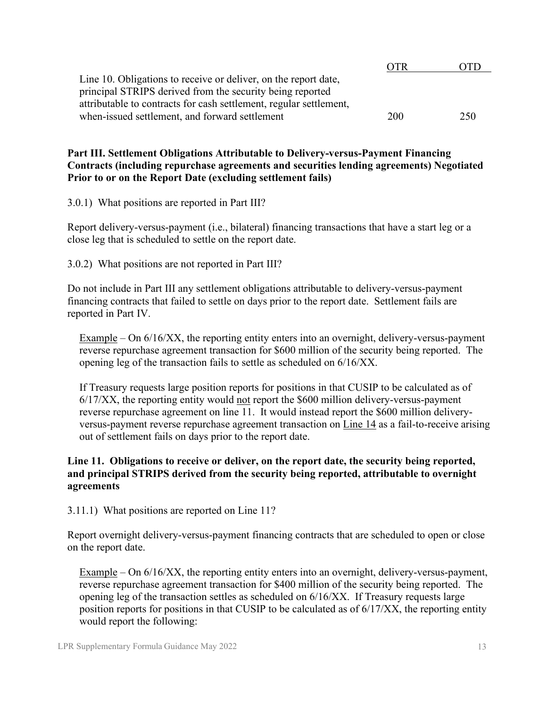|                                                                    | OTR. | ,,,, |
|--------------------------------------------------------------------|------|------|
| Line 10. Obligations to receive or deliver, on the report date,    |      |      |
| principal STRIPS derived from the security being reported          |      |      |
| attributable to contracts for cash settlement, regular settlement, |      |      |
| when-issued settlement, and forward settlement                     | 200  | 250  |

#### **Part III. Settlement Obligations Attributable to Delivery-versus-Payment Financing Contracts (including repurchase agreements and securities lending agreements) Negotiated Prior to or on the Report Date (excluding settlement fails)**

3.0.1) What positions are reported in Part III?

Report delivery-versus-payment (i.e., bilateral) financing transactions that have a start leg or a close leg that is scheduled to settle on the report date.

3.0.2) What positions are not reported in Part III?

Do not include in Part III any settlement obligations attributable to delivery-versus-payment financing contracts that failed to settle on days prior to the report date. Settlement fails are reported in Part IV.

 $Example - On 6/16/XX$ , the reporting entity enters into an overnight, delivery-versus-payment reverse repurchase agreement transaction for \$600 million of the security being reported. The opening leg of the transaction fails to settle as scheduled on 6/16/XX.

If Treasury requests large position reports for positions in that CUSIP to be calculated as of 6/17/XX, the reporting entity would not report the \$600 million delivery-versus-payment reverse repurchase agreement on line 11. It would instead report the \$600 million deliveryversus-payment reverse repurchase agreement transaction on Line 14 as a fail-to-receive arising out of settlement fails on days prior to the report date.

#### **Line 11. Obligations to receive or deliver, on the report date, the security being reported, and principal STRIPS derived from the security being reported, attributable to overnight agreements**

3.11.1) What positions are reported on Line 11?

Report overnight delivery-versus-payment financing contracts that are scheduled to open or close on the report date.

Example – On 6/16/XX, the reporting entity enters into an overnight, delivery-versus-payment, reverse repurchase agreement transaction for \$400 million of the security being reported. The opening leg of the transaction settles as scheduled on 6/16/XX. If Treasury requests large position reports for positions in that CUSIP to be calculated as of 6/17/XX, the reporting entity would report the following: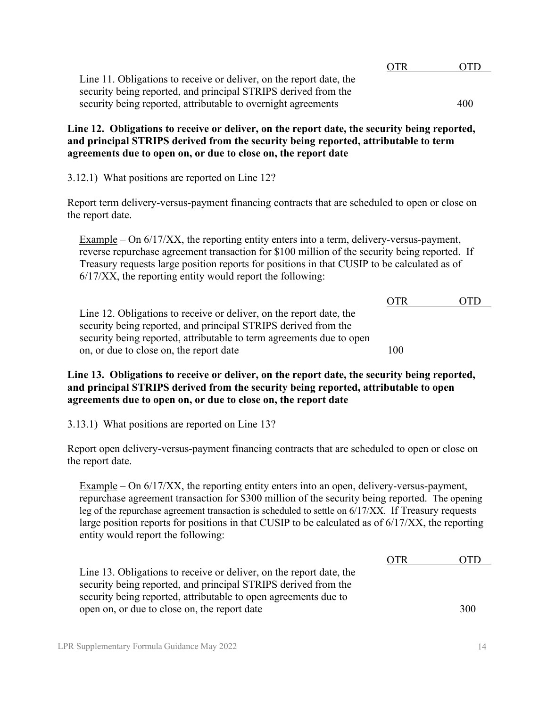|                                                                     | OTR | OTD |
|---------------------------------------------------------------------|-----|-----|
| Line 11. Obligations to receive or deliver, on the report date, the |     |     |
| security being reported, and principal STRIPS derived from the      |     |     |
| security being reported, attributable to overnight agreements       |     | 400 |

**Line 12. Obligations to receive or deliver, on the report date, the security being reported, and principal STRIPS derived from the security being reported, attributable to term agreements due to open on, or due to close on, the report date**

3.12.1) What positions are reported on Line 12?

Report term delivery-versus-payment financing contracts that are scheduled to open or close on the report date.

 $Example - On 6/17/XX$ , the reporting entity enters into a term, delivery-versus-payment, reverse repurchase agreement transaction for \$100 million of the security being reported. If Treasury requests large position reports for positions in that CUSIP to be calculated as of 6/17/XX, the reporting entity would report the following:

|                                                                      | <b>OTR</b> | OTD. |
|----------------------------------------------------------------------|------------|------|
| Line 12. Obligations to receive or deliver, on the report date, the  |            |      |
| security being reported, and principal STRIPS derived from the       |            |      |
| security being reported, attributable to term agreements due to open |            |      |
| on, or due to close on, the report date                              | 100        |      |

#### **Line 13. Obligations to receive or deliver, on the report date, the security being reported, and principal STRIPS derived from the security being reported, attributable to open agreements due to open on, or due to close on, the report date**

3.13.1) What positions are reported on Line 13?

Report open delivery-versus-payment financing contracts that are scheduled to open or close on the report date.

 $Example - On 6/17/XX$ , the reporting entity enters into an open, delivery-versus-payment, repurchase agreement transaction for \$300 million of the security being reported. The opening leg of the repurchase agreement transaction is scheduled to settle on 6/17/XX. If Treasury requests large position reports for positions in that CUSIP to be calculated as of 6/17/XX, the reporting entity would report the following:

|                                                                     | OTR | 011) |
|---------------------------------------------------------------------|-----|------|
| Line 13. Obligations to receive or deliver, on the report date, the |     |      |
| security being reported, and principal STRIPS derived from the      |     |      |
| security being reported, attributable to open agreements due to     |     |      |
| open on, or due to close on, the report date                        |     | 300  |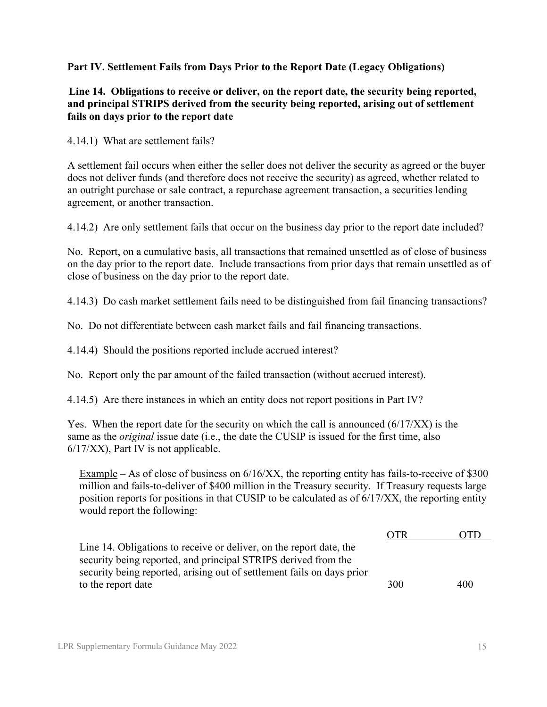#### <span id="page-14-0"></span>**Part IV. Settlement Fails from Days Prior to the Report Date (Legacy Obligations)**

#### **Line 14. Obligations to receive or deliver, on the report date, the security being reported, and principal STRIPS derived from the security being reported, arising out of settlement fails on days prior to the report date**

4.14.1) What are settlement fails?

A settlement fail occurs when either the seller does not deliver the security as agreed or the buyer does not deliver funds (and therefore does not receive the security) as agreed, whether related to an outright purchase or sale contract, a repurchase agreement transaction, a securities lending agreement, or another transaction.

4.14.2) Are only settlement fails that occur on the business day prior to the report date included?

No. Report, on a cumulative basis, all transactions that remained unsettled as of close of business on the day prior to the report date. Include transactions from prior days that remain unsettled as of close of business on the day prior to the report date.

4.14.3) Do cash market settlement fails need to be distinguished from fail financing transactions?

No. Do not differentiate between cash market fails and fail financing transactions.

4.14.4) Should the positions reported include accrued interest?

No. Report only the par amount of the failed transaction (without accrued interest).

4.14.5) Are there instances in which an entity does not report positions in Part IV?

Yes. When the report date for the security on which the call is announced (6/17/XX) is the same as the *original* issue date (i.e., the date the CUSIP is issued for the first time, also 6/17/XX), Part IV is not applicable.

Example – As of close of business on 6/16/XX, the reporting entity has fails-to-receive of \$300 million and fails-to-deliver of \$400 million in the Treasury security. If Treasury requests large position reports for positions in that CUSIP to be calculated as of 6/17/XX, the reporting entity would report the following:

|                                                                        | .)TR |     |
|------------------------------------------------------------------------|------|-----|
| Line 14. Obligations to receive or deliver, on the report date, the    |      |     |
| security being reported, and principal STRIPS derived from the         |      |     |
| security being reported, arising out of settlement fails on days prior |      |     |
| to the report date                                                     | 300  | 400 |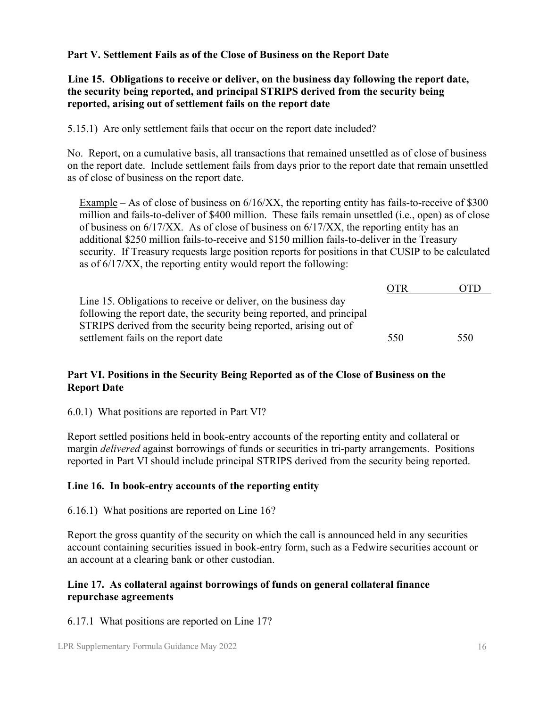<span id="page-15-0"></span>**Part V. Settlement Fails as of the Close of Business on the Report Date**

#### **Line 15. Obligations to receive or deliver, on the business day following the report date, the security being reported, and principal STRIPS derived from the security being reported, arising out of settlement fails on the report date**

5.15.1) Are only settlement fails that occur on the report date included?

No. Report, on a cumulative basis, all transactions that remained unsettled as of close of business on the report date. Include settlement fails from days prior to the report date that remain unsettled as of close of business on the report date.

Example – As of close of business on 6/16/XX, the reporting entity has fails-to-receive of \$300 million and fails-to-deliver of \$400 million. These fails remain unsettled (i.e., open) as of close of business on  $6/17/XX$ . As of close of business on  $6/17/XX$ , the reporting entity has an additional \$250 million fails-to-receive and \$150 million fails-to-deliver in the Treasury security. If Treasury requests large position reports for positions in that CUSIP to be calculated as of 6/17/XX, the reporting entity would report the following:

|                                                                       | OTR |     |
|-----------------------------------------------------------------------|-----|-----|
| Line 15. Obligations to receive or deliver, on the business day       |     |     |
| following the report date, the security being reported, and principal |     |     |
| STRIPS derived from the security being reported, arising out of       |     |     |
| settlement fails on the report date                                   | 550 | 550 |

# <span id="page-15-1"></span>**Part VI. Positions in the Security Being Reported as of the Close of Business on the Report Date**

6.0.1) What positions are reported in Part VI?

Report settled positions held in book-entry accounts of the reporting entity and collateral or margin *delivered* against borrowings of funds or securities in tri-party arrangements. Positions reported in Part VI should include principal STRIPS derived from the security being reported.

# **Line 16. In book-entry accounts of the reporting entity**

6.16.1) What positions are reported on Line 16?

Report the gross quantity of the security on which the call is announced held in any securities account containing securities issued in book-entry form, such as a Fedwire securities account or an account at a clearing bank or other custodian.

# **Line 17. As collateral against borrowings of funds on general collateral finance repurchase agreements**

# 6.17.1 What positions are reported on Line 17?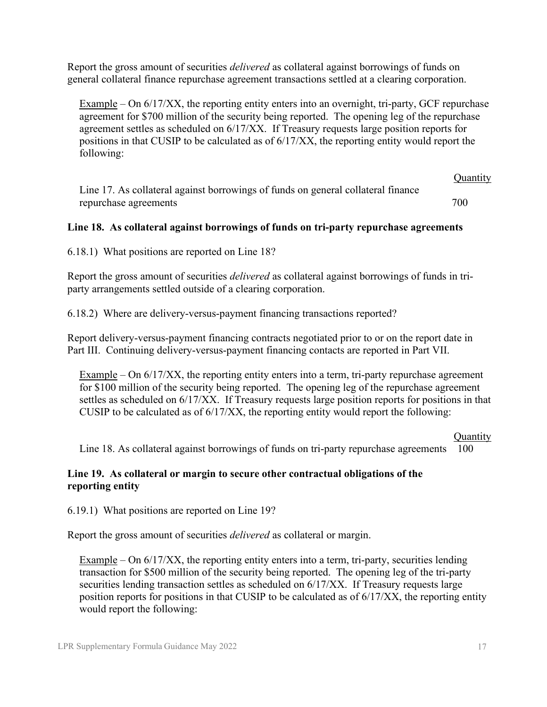Report the gross amount of securities *delivered* as collateral against borrowings of funds on general collateral finance repurchase agreement transactions settled at a clearing corporation.

Example – On  $6/17/XX$ , the reporting entity enters into an overnight, tri-party, GCF repurchase agreement for \$700 million of the security being reported. The opening leg of the repurchase agreement settles as scheduled on 6/17/XX. If Treasury requests large position reports for positions in that CUSIP to be calculated as of 6/17/XX, the reporting entity would report the following:

**Quantity** Line 17. As collateral against borrowings of funds on general collateral finance repurchase agreements 700

#### **Line 18. As collateral against borrowings of funds on tri-party repurchase agreements**

6.18.1) What positions are reported on Line 18?

Report the gross amount of securities *delivered* as collateral against borrowings of funds in triparty arrangements settled outside of a clearing corporation.

6.18.2) Where are delivery-versus-payment financing transactions reported?

Report delivery-versus-payment financing contracts negotiated prior to or on the report date in Part III. Continuing delivery-versus-payment financing contacts are reported in Part VII.

Example – On 6/17/XX, the reporting entity enters into a term, tri-party repurchase agreement for \$100 million of the security being reported. The opening leg of the repurchase agreement settles as scheduled on 6/17/XX. If Treasury requests large position reports for positions in that CUSIP to be calculated as of 6/17/XX, the reporting entity would report the following:

#### **Quantity**

Line 18. As collateral against borrowings of funds on tri-party repurchase agreements 100

#### **Line 19. As collateral or margin to secure other contractual obligations of the reporting entity**

6.19.1) What positions are reported on Line 19?

Report the gross amount of securities *delivered* as collateral or margin.

Example – On 6/17/XX, the reporting entity enters into a term, tri-party, securities lending transaction for \$500 million of the security being reported. The opening leg of the tri-party securities lending transaction settles as scheduled on 6/17/XX. If Treasury requests large position reports for positions in that CUSIP to be calculated as of 6/17/XX, the reporting entity would report the following: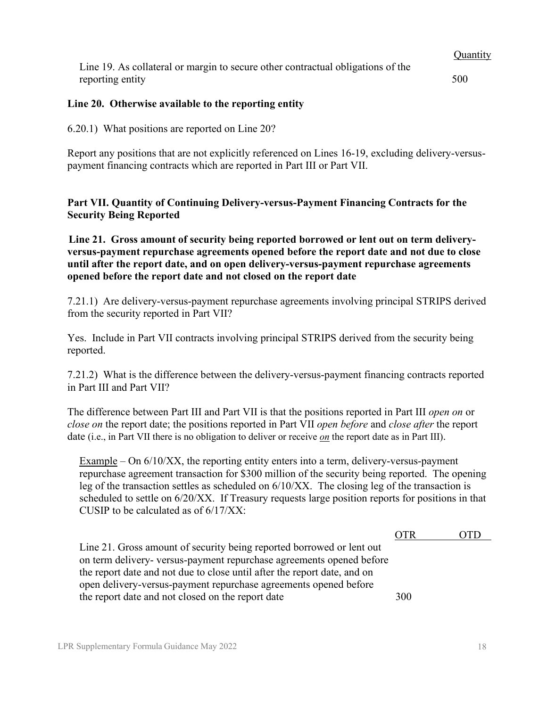**Quantity** Line 19. As collateral or margin to secure other contractual obligations of the reporting entity 500

#### **Line 20. Otherwise available to the reporting entity**

6.20.1) What positions are reported on Line 20?

Report any positions that are not explicitly referenced on Lines 16-19, excluding delivery-versuspayment financing contracts which are reported in Part III or Part VII.

<span id="page-17-0"></span>**Part VII. Quantity of Continuing Delivery-versus-Payment Financing Contracts for the Security Being Reported**

**Line 21. Gross amount of security being reported borrowed or lent out on term deliveryversus-payment repurchase agreements opened before the report date and not due to close until after the report date, and on open delivery-versus-payment repurchase agreements opened before the report date and not closed on the report date**

7.21.1) Are delivery-versus-payment repurchase agreements involving principal STRIPS derived from the security reported in Part VII?

Yes. Include in Part VII contracts involving principal STRIPS derived from the security being reported.

7.21.2) What is the difference between the delivery-versus-payment financing contracts reported in Part III and Part VII?

The difference between Part III and Part VII is that the positions reported in Part III *open on* or *close on* the report date; the positions reported in Part VII *open before* and *close after* the report date (i.e., in Part VII there is no obligation to deliver or receive *on* the report date as in Part III).

Example – On 6/10/XX, the reporting entity enters into a term, delivery-versus-payment repurchase agreement transaction for \$300 million of the security being reported. The opening leg of the transaction settles as scheduled on 6/10/XX. The closing leg of the transaction is scheduled to settle on 6/20/XX. If Treasury requests large position reports for positions in that CUSIP to be calculated as of 6/17/XX:

|                                                                          | OTR |  |
|--------------------------------------------------------------------------|-----|--|
| Line 21. Gross amount of security being reported borrowed or lent out    |     |  |
| on term delivery- versus-payment repurchase agreements opened before     |     |  |
| the report date and not due to close until after the report date, and on |     |  |
| open delivery-versus-payment repurchase agreements opened before         |     |  |
| the report date and not closed on the report date                        | 300 |  |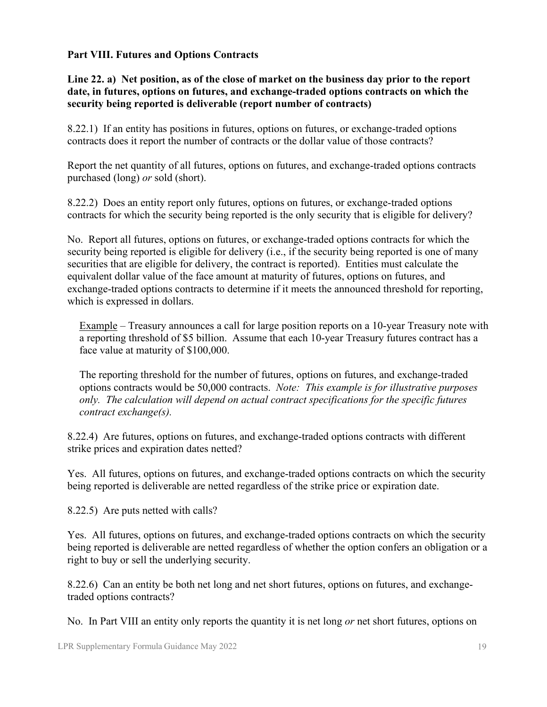## <span id="page-18-0"></span>**Part VIII. Futures and Options Contracts**

**Line 22. a) Net position, as of the close of market on the business day prior to the report date, in futures, options on futures, and exchange-traded options contracts on which the security being reported is deliverable (report number of contracts)**

8.22.1) If an entity has positions in futures, options on futures, or exchange-traded options contracts does it report the number of contracts or the dollar value of those contracts?

Report the net quantity of all futures, options on futures, and exchange-traded options contracts purchased (long) *or* sold (short).

8.22.2) Does an entity report only futures, options on futures, or exchange-traded options contracts for which the security being reported is the only security that is eligible for delivery?

No. Report all futures, options on futures, or exchange-traded options contracts for which the security being reported is eligible for delivery (i.e., if the security being reported is one of many securities that are eligible for delivery, the contract is reported). Entities must calculate the equivalent dollar value of the face amount at maturity of futures, options on futures, and exchange-traded options contracts to determine if it meets the announced threshold for reporting, which is expressed in dollars.

Example – Treasury announces a call for large position reports on a 10-year Treasury note with a reporting threshold of \$5 billion. Assume that each 10-year Treasury futures contract has a face value at maturity of \$100,000.

The reporting threshold for the number of futures, options on futures, and exchange-traded options contracts would be 50,000 contracts. *Note: This example is for illustrative purposes only. The calculation will depend on actual contract specifications for the specific futures contract exchange(s).*

8.22.4) Are futures, options on futures, and exchange-traded options contracts with different strike prices and expiration dates netted?

Yes. All futures, options on futures, and exchange-traded options contracts on which the security being reported is deliverable are netted regardless of the strike price or expiration date.

8.22.5) Are puts netted with calls?

Yes. All futures, options on futures, and exchange-traded options contracts on which the security being reported is deliverable are netted regardless of whether the option confers an obligation or a right to buy or sell the underlying security.

8.22.6) Can an entity be both net long and net short futures, options on futures, and exchangetraded options contracts?

No. In Part VIII an entity only reports the quantity it is net long *or* net short futures, options on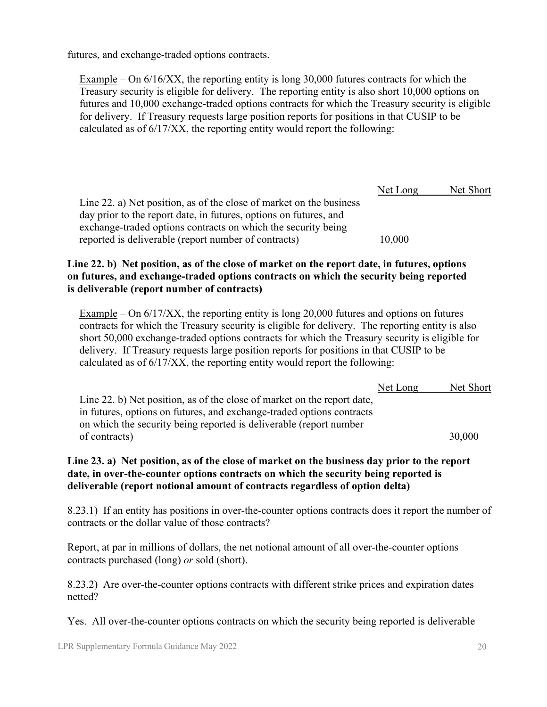futures, and exchange-traded options contracts.

Example – On 6/16/XX, the reporting entity is long 30,000 futures contracts for which the Treasury security is eligible for delivery. The reporting entity is also short 10,000 options on futures and 10,000 exchange-traded options contracts for which the Treasury security is eligible for delivery. If Treasury requests large position reports for positions in that CUSIP to be calculated as of 6/17/XX, the reporting entity would report the following:

|                                                                     | Net Long | Net Short |
|---------------------------------------------------------------------|----------|-----------|
| Line 22. a) Net position, as of the close of market on the business |          |           |
| day prior to the report date, in futures, options on futures, and   |          |           |
| exchange-traded options contracts on which the security being       |          |           |
| reported is deliverable (report number of contracts)                | 10,000   |           |

#### **Line 22. b) Net position, as of the close of market on the report date, in futures, options on futures, and exchange-traded options contracts on which the security being reported is deliverable (report number of contracts)**

Example – On 6/17/XX, the reporting entity is long 20,000 futures and options on futures contracts for which the Treasury security is eligible for delivery. The reporting entity is also short 50,000 exchange-traded options contracts for which the Treasury security is eligible for delivery. If Treasury requests large position reports for positions in that CUSIP to be calculated as of 6/17/XX, the reporting entity would report the following:

|                                                                         | Net Long | Net Short |
|-------------------------------------------------------------------------|----------|-----------|
| Line 22. b) Net position, as of the close of market on the report date, |          |           |
| in futures, options on futures, and exchange-traded options contracts   |          |           |
| on which the security being reported is deliverable (report number      |          |           |
| of contracts)                                                           |          | 30,000    |

#### **Line 23. a) Net position, as of the close of market on the business day prior to the report date, in over-the-counter options contracts on which the security being reported is deliverable (report notional amount of contracts regardless of option delta)**

8.23.1) If an entity has positions in over-the-counter options contracts does it report the number of contracts or the dollar value of those contracts?

Report, at par in millions of dollars, the net notional amount of all over-the-counter options contracts purchased (long) *or* sold (short).

8.23.2) Are over-the-counter options contracts with different strike prices and expiration dates netted?

Yes. All over-the-counter options contracts on which the security being reported is deliverable